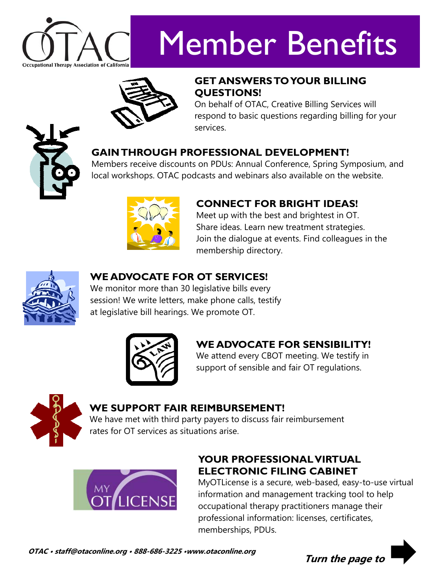

# Member Benefits



#### **GET ANSWERS TO YOUR BILLING QUESTIONS!**

On behalf of OTAC, Creative Billing Services will respond to basic questions regarding billing for your services.

#### **GAIN THROUGH PROFESSIONAL DEVELOPMENT!**

Members receive discounts on PDUs: Annual Conference, Spring Symposium, and local workshops. OTAC podcasts and webinars also available on the website.



#### **CONNECT FOR BRIGHT IDEAS!**

Meet up with the best and brightest in OT. Share ideas. Learn new treatment strategies. Join the dialogue at events. Find colleagues in the membership directory.



#### **WE ADVOCATE FOR OT SERVICES!**

We monitor more than 30 legislative bills every session! We write letters, make phone calls, testify at legislative bill hearings. We promote OT.



### **WE ADVOCATE FOR SENSIBILITY!**

We attend every CBOT meeting. We testify in support of sensible and fair OT regulations.



#### **WE SUPPORT FAIR REIMBURSEMENT!**

We have met with third party payers to discuss fair reimbursement rates for OT services as situations arise.



#### **YOUR PROFESSIONAL VIRTUAL ELECTRONIC FILING CABINET**

MyOTLicense is a secure, web-based, easy-to-use virtual information and management tracking tool to help occupational therapy practitioners manage their professional information: licenses, certificates, memberships, PDUs.